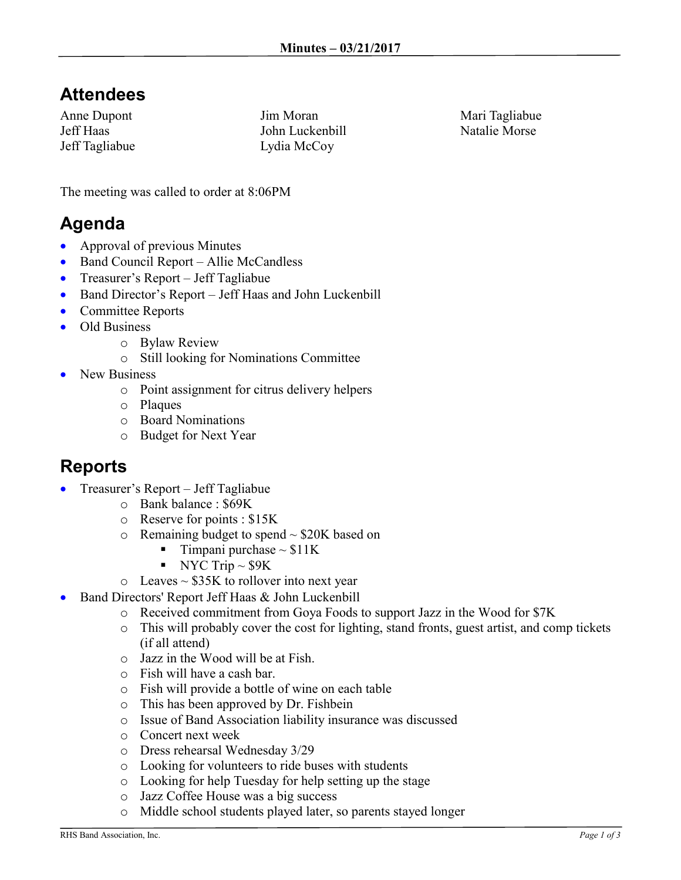## **Attendees**

Anne Dupont Jeff Haas Jeff Tagliabue Jim Moran John Luckenbill Lydia McCoy

Mari Tagliabue Natalie Morse

The meeting was called to order at 8:06PM

## **Agenda**

- Approval of previous Minutes
- Band Council Report Allie McCandless
- Treasurer's Report Jeff Tagliabue
- Band Director's Report Jeff Haas and John Luckenbill
- Committee Reports
- Old Business
	- o Bylaw Review
	- o Still looking for Nominations Committee
- New Business
	- o Point assignment for citrus delivery helpers
	- o Plaques
	- o Board Nominations
	- o Budget for Next Year

#### **Reports**

- Treasurer's Report Jeff Tagliabue
	- o Bank balance : \$69K
	- o Reserve for points : \$15K
	- $\circ$  Remaining budget to spend  $\sim$  \$20K based on
		- $\blacksquare$  Timpani purchase ~ \$11K
		- NYC Trip  $\sim$  \$9K
	- $\circ$  Leaves  $\sim$  \$35K to rollover into next year
- Band Directors' Report Jeff Haas & John Luckenbill
	- o Received commitment from Goya Foods to support Jazz in the Wood for \$7K
	- o This will probably cover the cost for lighting, stand fronts, guest artist, and comp tickets (if all attend)
	- o Jazz in the Wood will be at Fish.
	- o Fish will have a cash bar.
	- o Fish will provide a bottle of wine on each table
	- o This has been approved by Dr. Fishbein
	- o Issue of Band Association liability insurance was discussed
	- o Concert next week
	- o Dress rehearsal Wednesday 3/29
	- o Looking for volunteers to ride buses with students
	- o Looking for help Tuesday for help setting up the stage
	- o Jazz Coffee House was a big success
	- o Middle school students played later, so parents stayed longer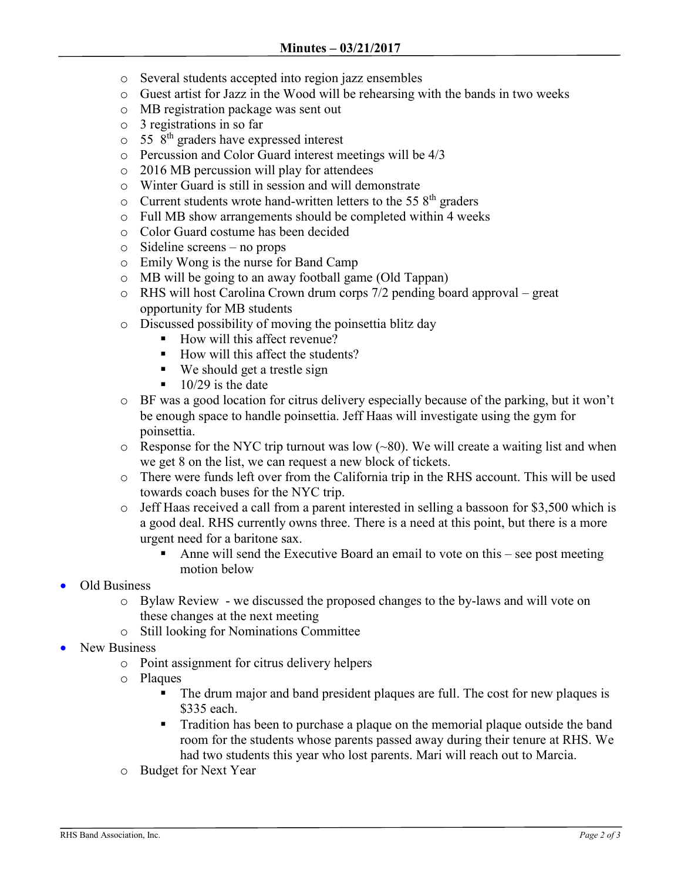- o Several students accepted into region jazz ensembles
- o Guest artist for Jazz in the Wood will be rehearsing with the bands in two weeks
- o MB registration package was sent out
- o 3 registrations in so far
- $\circ$  55  $8<sup>th</sup>$  graders have expressed interest
- o Percussion and Color Guard interest meetings will be 4/3
- o 2016 MB percussion will play for attendees
- o Winter Guard is still in session and will demonstrate
- $\circ$  Current students wrote hand-written letters to the 55  $8<sup>th</sup>$  graders
- o Full MB show arrangements should be completed within 4 weeks
- o Color Guard costume has been decided
- o Sideline screens no props
- o Emily Wong is the nurse for Band Camp
- o MB will be going to an away football game (Old Tappan)
- o RHS will host Carolina Crown drum corps 7/2 pending board approval great opportunity for MB students
- o Discussed possibility of moving the poinsettia blitz day
	- How will this affect revenue?
	- $\blacksquare$  How will this affect the students?
	- We should get a trestle sign
	- $\blacksquare$  10/29 is the date
- $\circ$  BF was a good location for citrus delivery especially because of the parking, but it won't be enough space to handle poinsettia. Jeff Haas will investigate using the gym for poinsettia.
- $\circ$  Response for the NYC trip turnout was low (~80). We will create a waiting list and when we get 8 on the list, we can request a new block of tickets.
- o There were funds left over from the California trip in the RHS account. This will be used towards coach buses for the NYC trip.
- o Jeff Haas received a call from a parent interested in selling a bassoon for \$3,500 which is a good deal. RHS currently owns three. There is a need at this point, but there is a more urgent need for a baritone sax.
	- Anne will send the Executive Board an email to vote on this see post meeting motion below
- Old Business
	- o Bylaw Review we discussed the proposed changes to the by-laws and will vote on these changes at the next meeting
	- o Still looking for Nominations Committee
- New Business
	- o Point assignment for citrus delivery helpers
	- o Plaques
		- The drum major and band president plaques are full. The cost for new plaques is \$335 each.
		- Tradition has been to purchase a plaque on the memorial plaque outside the band room for the students whose parents passed away during their tenure at RHS. We had two students this year who lost parents. Mari will reach out to Marcia.
	- o Budget for Next Year